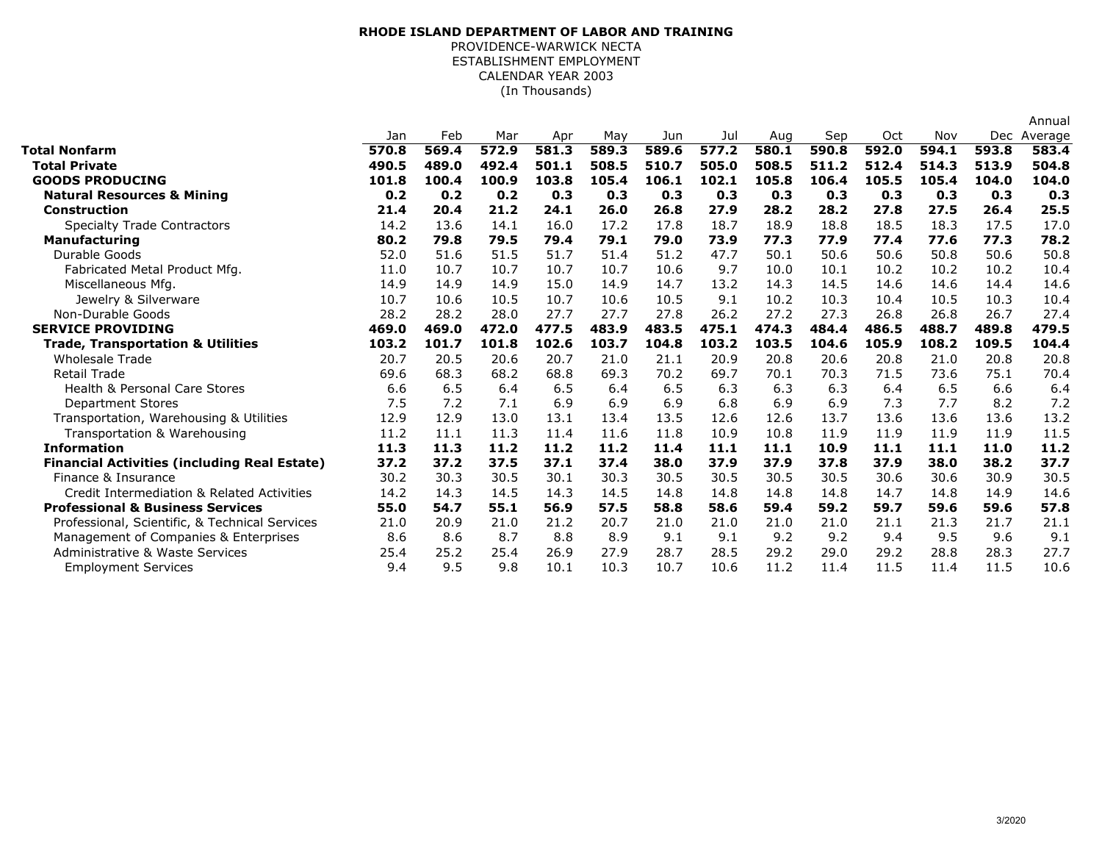## (In Thousands)**RHODE ISLAND DEPARTMENT OF LABOR AND TRAINING**PROVIDENCE-WARWICK NECTA ESTABLISHMENT EMPLOYMENTCALENDAR YEAR 2003

|                                                     |       |       |       |       |       |       |       |       |       |       |       |       | Annual      |
|-----------------------------------------------------|-------|-------|-------|-------|-------|-------|-------|-------|-------|-------|-------|-------|-------------|
|                                                     | Jan   | Feb   | Mar   | Apr   | May   | Jun   | Jul   | Aug   | Sep   | Oct   | Nov   |       | Dec Average |
| Total Nonfarm                                       | 570.8 | 569.4 | 572.9 | 581.3 | 589.3 | 589.6 | 577.2 | 580.1 | 590.8 | 592.0 | 594.1 | 593.8 | 583.4       |
| <b>Total Private</b>                                | 490.5 | 489.0 | 492.4 | 501.1 | 508.5 | 510.7 | 505.0 | 508.5 | 511.2 | 512.4 | 514.3 | 513.9 | 504.8       |
| <b>GOODS PRODUCING</b>                              | 101.8 | 100.4 | 100.9 | 103.8 | 105.4 | 106.1 | 102.1 | 105.8 | 106.4 | 105.5 | 105.4 | 104.0 | 104.0       |
| <b>Natural Resources &amp; Mining</b>               | 0.2   | 0.2   | 0.2   | 0.3   | 0.3   | 0.3   | 0.3   | 0.3   | 0.3   | 0.3   | 0.3   | 0.3   | 0.3         |
| <b>Construction</b>                                 | 21.4  | 20.4  | 21.2  | 24.1  | 26.0  | 26.8  | 27.9  | 28.2  | 28.2  | 27.8  | 27.5  | 26.4  | 25.5        |
| <b>Specialty Trade Contractors</b>                  | 14.2  | 13.6  | 14.1  | 16.0  | 17.2  | 17.8  | 18.7  | 18.9  | 18.8  | 18.5  | 18.3  | 17.5  | 17.0        |
| <b>Manufacturing</b>                                | 80.2  | 79.8  | 79.5  | 79.4  | 79.1  | 79.0  | 73.9  | 77.3  | 77.9  | 77.4  | 77.6  | 77.3  | 78.2        |
| Durable Goods                                       | 52.0  | 51.6  | 51.5  | 51.7  | 51.4  | 51.2  | 47.7  | 50.1  | 50.6  | 50.6  | 50.8  | 50.6  | 50.8        |
| Fabricated Metal Product Mfg.                       | 11.0  | 10.7  | 10.7  | 10.7  | 10.7  | 10.6  | 9.7   | 10.0  | 10.1  | 10.2  | 10.2  | 10.2  | 10.4        |
| Miscellaneous Mfg.                                  | 14.9  | 14.9  | 14.9  | 15.0  | 14.9  | 14.7  | 13.2  | 14.3  | 14.5  | 14.6  | 14.6  | 14.4  | 14.6        |
| Jewelry & Silverware                                | 10.7  | 10.6  | 10.5  | 10.7  | 10.6  | 10.5  | 9.1   | 10.2  | 10.3  | 10.4  | 10.5  | 10.3  | 10.4        |
| Non-Durable Goods                                   | 28.2  | 28.2  | 28.0  | 27.7  | 27.7  | 27.8  | 26.2  | 27.2  | 27.3  | 26.8  | 26.8  | 26.7  | 27.4        |
| <b>SERVICE PROVIDING</b>                            | 469.0 | 469.0 | 472.0 | 477.5 | 483.9 | 483.5 | 475.1 | 474.3 | 484.4 | 486.5 | 488.7 | 489.8 | 479.5       |
| <b>Trade, Transportation &amp; Utilities</b>        | 103.2 | 101.7 | 101.8 | 102.6 | 103.7 | 104.8 | 103.2 | 103.5 | 104.6 | 105.9 | 108.2 | 109.5 | 104.4       |
| <b>Wholesale Trade</b>                              | 20.7  | 20.5  | 20.6  | 20.7  | 21.0  | 21.1  | 20.9  | 20.8  | 20.6  | 20.8  | 21.0  | 20.8  | 20.8        |
| <b>Retail Trade</b>                                 | 69.6  | 68.3  | 68.2  | 68.8  | 69.3  | 70.2  | 69.7  | 70.1  | 70.3  | 71.5  | 73.6  | 75.1  | 70.4        |
| <b>Health &amp; Personal Care Stores</b>            | 6.6   | 6.5   | 6.4   | 6.5   | 6.4   | 6.5   | 6.3   | 6.3   | 6.3   | 6.4   | 6.5   | 6.6   | 6.4         |
| <b>Department Stores</b>                            | 7.5   | 7.2   | 7.1   | 6.9   | 6.9   | 6.9   | 6.8   | 6.9   | 6.9   | 7.3   | 7.7   | 8.2   | 7.2         |
| Transportation, Warehousing & Utilities             | 12.9  | 12.9  | 13.0  | 13.1  | 13.4  | 13.5  | 12.6  | 12.6  | 13.7  | 13.6  | 13.6  | 13.6  | 13.2        |
| Transportation & Warehousing                        | 11.2  | 11.1  | 11.3  | 11.4  | 11.6  | 11.8  | 10.9  | 10.8  | 11.9  | 11.9  | 11.9  | 11.9  | 11.5        |
| <b>Information</b>                                  | 11.3  | 11.3  | 11.2  | 11.2  | 11.2  | 11.4  | 11.1  | 11.1  | 10.9  | 11.1  | 11.1  | 11.0  | 11.2        |
| <b>Financial Activities (including Real Estate)</b> | 37.2  | 37.2  | 37.5  | 37.1  | 37.4  | 38.0  | 37.9  | 37.9  | 37.8  | 37.9  | 38.0  | 38.2  | 37.7        |
| Finance & Insurance                                 | 30.2  | 30.3  | 30.5  | 30.1  | 30.3  | 30.5  | 30.5  | 30.5  | 30.5  | 30.6  | 30.6  | 30.9  | 30.5        |
| Credit Intermediation & Related Activities          | 14.2  | 14.3  | 14.5  | 14.3  | 14.5  | 14.8  | 14.8  | 14.8  | 14.8  | 14.7  | 14.8  | 14.9  | 14.6        |
| <b>Professional &amp; Business Services</b>         | 55.0  | 54.7  | 55.1  | 56.9  | 57.5  | 58.8  | 58.6  | 59.4  | 59.2  | 59.7  | 59.6  | 59.6  | 57.8        |
| Professional, Scientific, & Technical Services      | 21.0  | 20.9  | 21.0  | 21.2  | 20.7  | 21.0  | 21.0  | 21.0  | 21.0  | 21.1  | 21.3  | 21.7  | 21.1        |
| Management of Companies & Enterprises               | 8.6   | 8.6   | 8.7   | 8.8   | 8.9   | 9.1   | 9.1   | 9.2   | 9.2   | 9.4   | 9.5   | 9.6   | 9.1         |
| Administrative & Waste Services                     | 25.4  | 25.2  | 25.4  | 26.9  | 27.9  | 28.7  | 28.5  | 29.2  | 29.0  | 29.2  | 28.8  | 28.3  | 27.7        |
| <b>Employment Services</b>                          | 9.4   | 9.5   | 9.8   | 10.1  | 10.3  | 10.7  | 10.6  | 11.2  | 11.4  | 11.5  | 11.4  | 11.5  | 10.6        |
|                                                     |       |       |       |       |       |       |       |       |       |       |       |       |             |